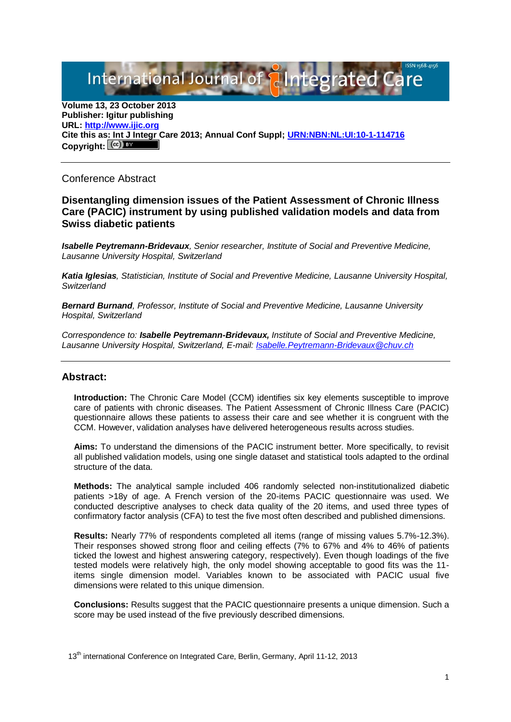# International Journal of **Plantegrated**

**Volume 13, 23 October 2013 Publisher: Igitur publishing URL[: http://www.ijic.org](http://www.ijic.org/) Cite this as: Int J Integr Care 2013; Annual Conf Suppl; [URN:NBN:NL:UI:10-1-114716](http://persistent-identifier.nl/?identifier=URN:NBN:NL:UI:10-1-114716)** Copyright:  $(cc)$  BY

### Conference Abstract

#### **Disentangling dimension issues of the Patient Assessment of Chronic Illness Care (PACIC) instrument by using published validation models and data from Swiss diabetic patients**

*Isabelle Peytremann-Bridevaux, Senior researcher, Institute of Social and Preventive Medicine, Lausanne University Hospital, Switzerland*

*Katia Iglesias, Statistician, Institute of Social and Preventive Medicine, Lausanne University Hospital, Switzerland*

*Bernard Burnand, Professor, Institute of Social and Preventive Medicine, Lausanne University Hospital, Switzerland*

*Correspondence to: Isabelle Peytremann-Bridevaux, Institute of Social and Preventive Medicine, Lausanne University Hospital, Switzerland, E-mail: [Isabelle.Peytremann-Bridevaux@chuv.ch](mailto:Isabelle.Peytremann-Bridevaux@chuv.ch)*

#### **Abstract:**

**Introduction:** The Chronic Care Model (CCM) identifies six key elements susceptible to improve care of patients with chronic diseases. The Patient Assessment of Chronic Illness Care (PACIC) questionnaire allows these patients to assess their care and see whether it is congruent with the CCM. However, validation analyses have delivered heterogeneous results across studies.

**Aims:** To understand the dimensions of the PACIC instrument better. More specifically, to revisit all published validation models, using one single dataset and statistical tools adapted to the ordinal structure of the data.

**Methods:** The analytical sample included 406 randomly selected non-institutionalized diabetic patients >18y of age. A French version of the 20-items PACIC questionnaire was used. We conducted descriptive analyses to check data quality of the 20 items, and used three types of confirmatory factor analysis (CFA) to test the five most often described and published dimensions.

**Results:** Nearly 77% of respondents completed all items (range of missing values 5.7%-12.3%). Their responses showed strong floor and ceiling effects (7% to 67% and 4% to 46% of patients ticked the lowest and highest answering category, respectively). Even though loadings of the five tested models were relatively high, the only model showing acceptable to good fits was the 11 items single dimension model. Variables known to be associated with PACIC usual five dimensions were related to this unique dimension.

**Conclusions:** Results suggest that the PACIC questionnaire presents a unique dimension. Such a score may be used instead of the five previously described dimensions.

13<sup>th</sup> international Conference on Integrated Care, Berlin, Germany, April 11-12, 2013